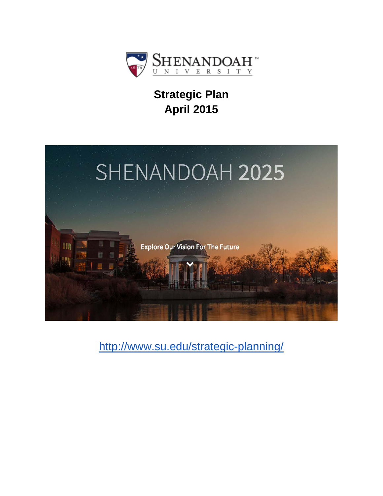

# **Strategic Plan April 2015**



<http://www.su.edu/strategic-planning/>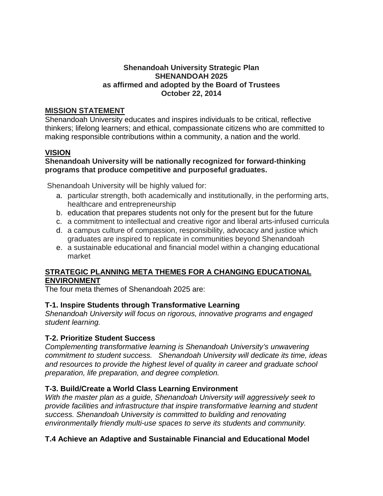#### **Shenandoah University Strategic Plan SHENANDOAH 2025 as affirmed and adopted by the Board of Trustees October 22, 2014**

#### **MISSION STATEMENT**

Shenandoah University educates and inspires individuals to be critical, reflective thinkers; lifelong learners; and ethical, compassionate citizens who are committed to making responsible contributions within a community, a nation and the world.

## **VISION**

#### **Shenandoah University will be nationally recognized for forward-thinking programs that produce competitive and purposeful graduates.**

Shenandoah University will be highly valued for:

- a. particular strength, both academically and institutionally, in the performing arts, healthcare and entrepreneurship
- b. education that prepares students not only for the present but for the future
- c. a commitment to intellectual and creative rigor and liberal arts-infused curricula
- d. a campus culture of compassion, responsibility, advocacy and justice which graduates are inspired to replicate in communities beyond Shenandoah
- e. a sustainable educational and financial model within a changing educational market

## **STRATEGIC PLANNING META THEMES FOR A CHANGING EDUCATIONAL ENVIRONMENT**

The four meta themes of Shenandoah 2025 are:

## **T-1. Inspire Students through Transformative Learning**

*Shenandoah University will focus on rigorous, innovative programs and engaged student learning.*

## **T-2. Prioritize Student Success**

*Complementing transformative learning is Shenandoah University's unwavering commitment to student success. Shenandoah University will dedicate its time, ideas and resources to provide the highest level of quality in career and graduate school preparation, life preparation, and degree completion.*

## **T-3. Build/Create a World Class Learning Environment**

*With the master plan as a guide, Shenandoah University will aggressively seek to provide facilities and infrastructure that inspire transformative learning and student success. Shenandoah University is committed to building and renovating environmentally friendly multi-use spaces to serve its students and community.*

## **T.4 Achieve an Adaptive and Sustainable Financial and Educational Model**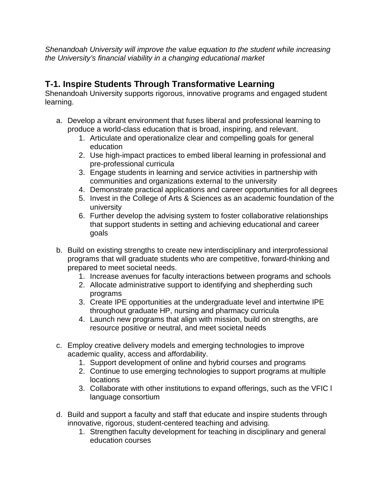*Shenandoah University will improve the value equation to the student while increasing the University's financial viability in a changing educational market*

# **T-1. Inspire Students Through Transformative Learning**

Shenandoah University supports rigorous, innovative programs and engaged student learning.

- a. Develop a vibrant environment that fuses liberal and professional learning to produce a world-class education that is broad, inspiring, and relevant.
	- 1. Articulate and operationalize clear and compelling goals for general education
	- 2. Use high-impact practices to embed liberal learning in professional and pre-professional curricula
	- 3. Engage students in learning and service activities in partnership with communities and organizations external to the university
	- 4. Demonstrate practical applications and career opportunities for all degrees
	- 5. Invest in the College of Arts & Sciences as an academic foundation of the university
	- 6. Further develop the advising system to foster collaborative relationships that support students in setting and achieving educational and career goals
- b. Build on existing strengths to create new interdisciplinary and interprofessional programs that will graduate students who are competitive, forward-thinking and prepared to meet societal needs.
	- 1. Increase avenues for faculty interactions between programs and schools
	- 2. Allocate administrative support to identifying and shepherding such programs
	- 3. Create IPE opportunities at the undergraduate level and intertwine IPE throughout graduate HP, nursing and pharmacy curricula
	- 4. Launch new programs that align with mission, build on strengths, are resource positive or neutral, and meet societal needs
- c. Employ creative delivery models and emerging technologies to improve academic quality, access and affordability.
	- 1. Support development of online and hybrid courses and programs
	- 2. Continue to use emerging technologies to support programs at multiple locations
	- 3. Collaborate with other institutions to expand offerings, such as the VFIC l language consortium
- d. Build and support a faculty and staff that educate and inspire students through innovative, rigorous, student-centered teaching and advising.
	- 1. Strengthen faculty development for teaching in disciplinary and general education courses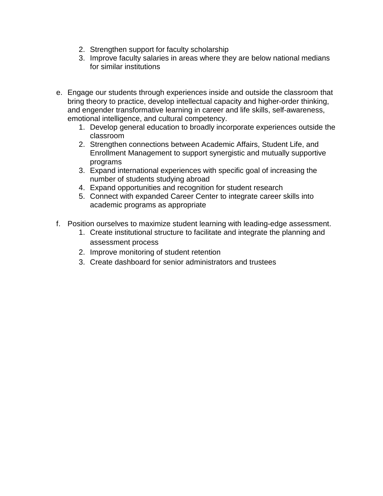- 2. Strengthen support for faculty scholarship
- 3. Improve faculty salaries in areas where they are below national medians for similar institutions
- e. Engage our students through experiences inside and outside the classroom that bring theory to practice, develop intellectual capacity and higher-order thinking, and engender transformative learning in career and life skills, self-awareness, emotional intelligence, and cultural competency.
	- 1. Develop general education to broadly incorporate experiences outside the classroom
	- 2. Strengthen connections between Academic Affairs, Student Life, and Enrollment Management to support synergistic and mutually supportive programs
	- 3. Expand international experiences with specific goal of increasing the number of students studying abroad
	- 4. Expand opportunities and recognition for student research
	- 5. Connect with expanded Career Center to integrate career skills into academic programs as appropriate
- f. Position ourselves to maximize student learning with leading-edge assessment.
	- 1. Create institutional structure to facilitate and integrate the planning and assessment process
	- 2. Improve monitoring of student retention
	- 3. Create dashboard for senior administrators and trustees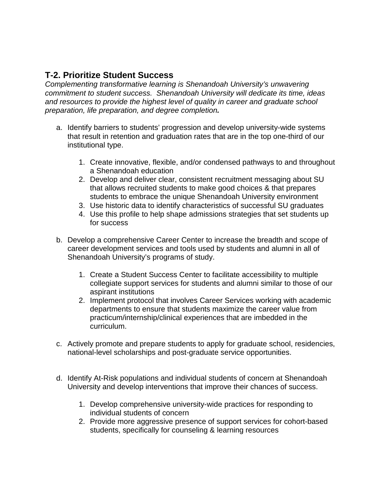# **T-2. Prioritize Student Success**

*Complementing transformative learning is Shenandoah University's unwavering commitment to student success. Shenandoah University will dedicate its time, ideas and resources to provide the highest level of quality in career and graduate school preparation, life preparation, and degree completion.*

- a. Identify barriers to students' progression and develop university-wide systems that result in retention and graduation rates that are in the top one-third of our institutional type.
	- 1. Create innovative, flexible, and/or condensed pathways to and throughout a Shenandoah education
	- 2. Develop and deliver clear, consistent recruitment messaging about SU that allows recruited students to make good choices & that prepares students to embrace the unique Shenandoah University environment
	- 3. Use historic data to identify characteristics of successful SU graduates
	- 4. Use this profile to help shape admissions strategies that set students up for success
- b. Develop a comprehensive Career Center to increase the breadth and scope of career development services and tools used by students and alumni in all of Shenandoah University's programs of study.
	- 1. Create a Student Success Center to facilitate accessibility to multiple collegiate support services for students and alumni similar to those of our aspirant institutions
	- 2. Implement protocol that involves Career Services working with academic departments to ensure that students maximize the career value from practicum/internship/clinical experiences that are imbedded in the curriculum.
- c. Actively promote and prepare students to apply for graduate school, residencies, national-level scholarships and post-graduate service opportunities.
- d. Identify At-Risk populations and individual students of concern at Shenandoah University and develop interventions that improve their chances of success.
	- 1. Develop comprehensive university-wide practices for responding to individual students of concern
	- 2. Provide more aggressive presence of support services for cohort-based students, specifically for counseling & learning resources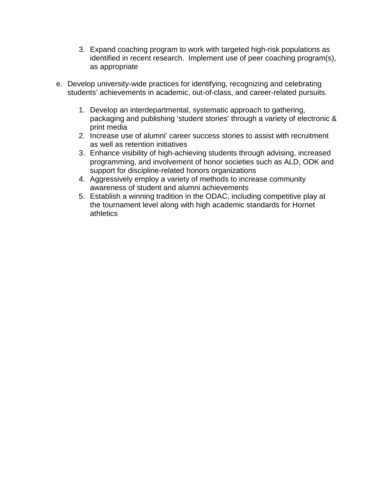- 3. Expand coaching program to work with targeted high-risk populations as identified in recent research. Implement use of peer coaching program(s), as appropriate
- e. Develop university-wide practices for identifying, recognizing and celebrating students' achievements in academic, out-of-class, and career-related pursuits.
	- 1. Develop an interdepartmental, systematic approach to gathering, packaging and publishing 'student stories' through a variety of electronic & print media
	- 2. Increase use of alumni' career success stories to assist with recruitment as well as retention initiatives
	- 3. Enhance visibility of high-achieving students through advising, increased programming, and involvement of honor societies such as ALD, ODK and support for discipline-related honors organizations
	- 4. Aggressively employ a variety of methods to increase community awareness of student and alumni achievements
	- 5. Establish a winning tradition in the ODAC, including competitive play at the tournament level along with high academic standards for Hornet athletics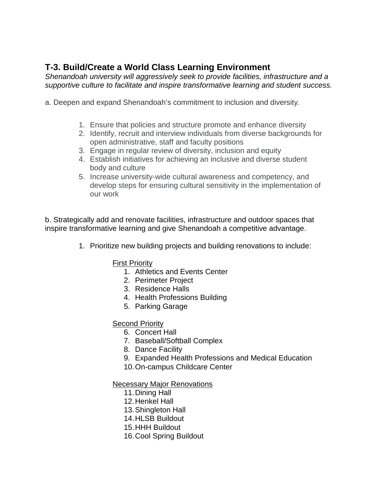# **T-3. Build/Create a World Class Learning Environment**

*Shenandoah university will aggressively seek to provide facilities, infrastructure and a supportive culture to facilitate and inspire transformative learning and student success.* 

- a. Deepen and expand Shenandoah's commitment to inclusion and diversity.
	- 1. Ensure that policies and structure promote and enhance diversity
	- 2. Identify, recruit and interview individuals from diverse backgrounds for open administrative, staff and faculty positions
	- 3. Engage in regular review of diversity, inclusion and equity
	- 4. Establish initiatives for achieving an inclusive and diverse student body and culture
	- 5. Increase university-wide cultural awareness and competency, and develop steps for ensuring cultural sensitivity in the implementation of our work

b. Strategically add and renovate facilities, infrastructure and outdoor spaces that inspire transformative learning and give Shenandoah a competitive advantage.

1. Prioritize new building projects and building renovations to include:

#### First Priority

- 1. Athletics and Events Center
- 2. Perimeter Project
- 3. Residence Halls
- 4. Health Professions Building
- 5. Parking Garage

#### Second Priority

- 6. Concert Hall
- 7. Baseball/Softball Complex
- 8. Dance Facility
- 9. Expanded Health Professions and Medical Education
- 10.On-campus Childcare Center

#### Necessary Major Renovations

- 11.Dining Hall
- 12.Henkel Hall
- 13.Shingleton Hall
- 14.HLSB Buildout
- 15.HHH Buildout
- 16.Cool Spring Buildout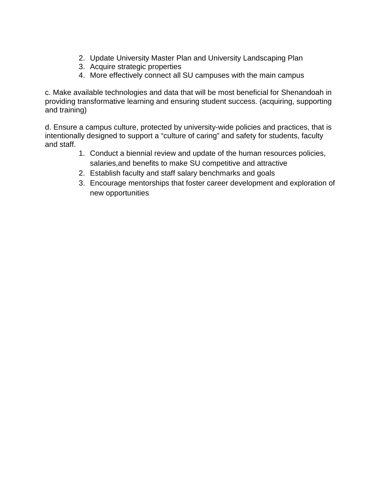- 2. Update University Master Plan and University Landscaping Plan
- 3. Acquire strategic properties
- 4. More effectively connect all SU campuses with the main campus

c. Make available technologies and data that will be most beneficial for Shenandoah in providing transformative learning and ensuring student success. (acquiring, supporting and training)

d. Ensure a campus culture, protected by university-wide policies and practices, that is intentionally designed to support a "culture of caring" and safety for students, faculty and staff.

- 1. Conduct a biennial review and update of the human resources policies, salaries,and benefits to make SU competitive and attractive
- 2. Establish faculty and staff salary benchmarks and goals
- 3. Encourage mentorships that foster career development and exploration of new opportunities